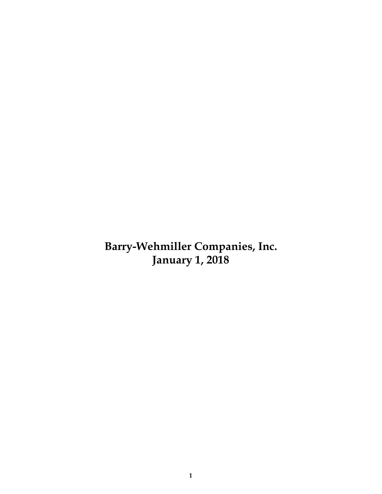**Barry-Wehmiller Companies, Inc. January 1, 2018**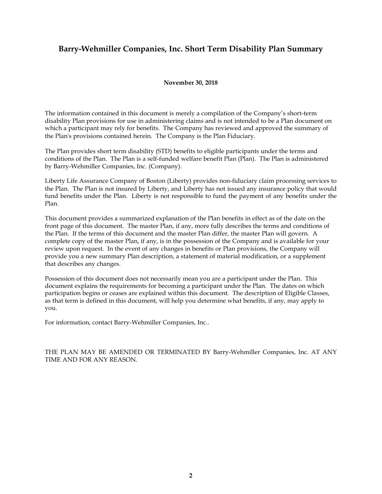# **Barry-Wehmiller Companies, Inc. Short Term Disability Plan Summary**

# **November 30, 2018**

The information contained in this document is merely a compilation of the Company's short-term disability Plan provisions for use in administering claims and is not intended to be a Plan document on which a participant may rely for benefits. The Company has reviewed and approved the summary of the Plan's provisions contained herein. The Company is the Plan Fiduciary.

The Plan provides short term disability (STD) benefits to eligible participants under the terms and conditions of the Plan. The Plan is a self-funded welfare benefit Plan (Plan). The Plan is administered by Barry-Wehmiller Companies, Inc. (Company).

Liberty Life Assurance Company of Boston (Liberty) provides non-fiduciary claim processing services to the Plan. The Plan is not insured by Liberty, and Liberty has not issued any insurance policy that would fund benefits under the Plan. Liberty is not responsible to fund the payment of any benefits under the Plan.

This document provides a summarized explanation of the Plan benefits in effect as of the date on the front page of this document. The master Plan, if any, more fully describes the terms and conditions of the Plan. If the terms of this document and the master Plan differ, the master Plan will govern. A complete copy of the master Plan, if any, is in the possession of the Company and is available for your review upon request. In the event of any changes in benefits or Plan provisions, the Company will provide you a new summary Plan description, a statement of material modification, or a supplement that describes any changes.

Possession of this document does not necessarily mean you are a participant under the Plan. This document explains the requirements for becoming a participant under the Plan. The dates on which participation begins or ceases are explained within this document. The description of Eligible Classes, as that term is defined in this document, will help you determine what benefits, if any, may apply to you.

For information, contact Barry-Wehmiller Companies, Inc..

THE PLAN MAY BE AMENDED OR TERMINATED BY Barry-Wehmiller Companies, Inc. AT ANY TIME AND FOR ANY REASON.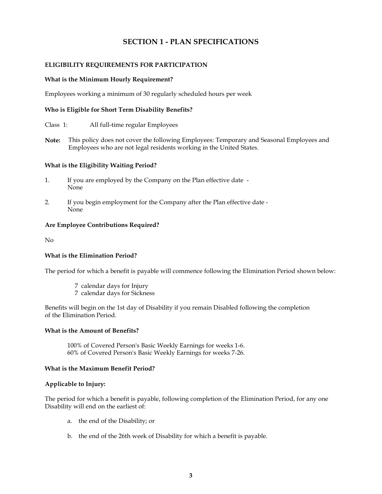# **SECTION 1 - PLAN SPECIFICATIONS**

# **ELIGIBILITY REQUIREMENTS FOR PARTICIPATION**

#### **What is the Minimum Hourly Requirement?**

Employees working a minimum of 30 regularly scheduled hours per week

# **Who is Eligible for Short Term Disability Benefits?**

- Class 1: All full-time regular Employees
- **Note:** This policy does not cover the following Employees: Temporary and Seasonal Employees and Employees who are not legal residents working in the United States.

#### **What is the Eligibility Waiting Period?**

- 1. If you are employed by the Company on the Plan effective date None
- 2. If you begin employment for the Company after the Plan effective date None

# **Are Employee Contributions Required?**

No

#### **What is the Elimination Period?**

The period for which a benefit is payable will commence following the Elimination Period shown below:

- 7 calendar days for Injury
- 7 calendar days for Sickness

Benefits will begin on the 1st day of Disability if you remain Disabled following the completion of the Elimination Period.

#### **What is the Amount of Benefits?**

100% of Covered Person's Basic Weekly Earnings for weeks 1-6. 60% of Covered Person's Basic Weekly Earnings for weeks 7-26.

#### **What is the Maximum Benefit Period?**

### **Applicable to Injury:**

The period for which a benefit is payable, following completion of the Elimination Period, for any one Disability will end on the earliest of:

- a. the end of the Disability; or
- b. the end of the 26th week of Disability for which a benefit is payable.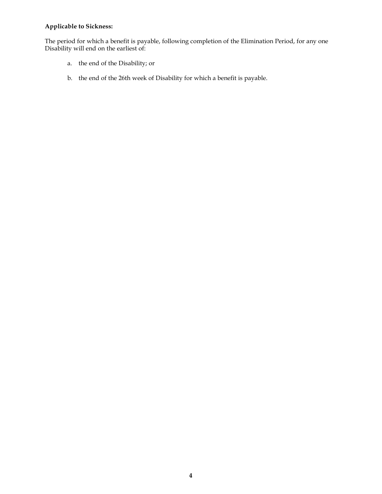# **Applicable to Sickness:**

The period for which a benefit is payable, following completion of the Elimination Period, for any one Disability will end on the earliest of:

- a. the end of the Disability; or
- b. the end of the 26th week of Disability for which a benefit is payable.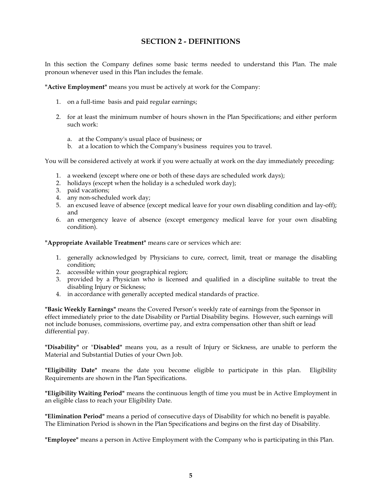# **SECTION 2 -DEFINITIONS**

In this section the Company defines some basic terms needed to understand this Plan. The male pronoun whenever used in this Plan includes the female.

**"Active Employment"** means you must be actively at work for the Company:

- 1. on a full-time basis and paid regular earnings;
- 2. for at least the minimum number of hours shown in the Plan Specifications; and either perform such work:
	- a. at the Company's usual place of business; or
	- b. at a location to which the Company's business requires you to travel.

You will be considered actively at work if you were actually at work on the day immediately preceding:

- 1. a weekend (except where one or both of these days are scheduled work days);
- 2. holidays (except when the holiday is a scheduled work day);
- 3. paid vacations;
- 4. any non-scheduled work day;
- 5. an excused leave of absence (except medical leave for your own disabling condition and lay-off); and
- 6. an emergency leave of absence (except emergency medical leave for your own disabling condition).

**"Appropriate Available Treatment"** means care or services which are:

- 1. generally acknowledged by Physicians to cure, correct, limit, treat or manage the disabling condition;
- 2. accessible within your geographical region;
- 3. provided by a Physician who is licensed and qualified in a discipline suitable to treat the disabling Injury or Sickness;
- 4. in accordance with generally accepted medical standards of practice.

**"Basic Weekly Earnings"** means the Covered Person's weekly rate of earnings from the Sponsor in effect immediately prior to the date Disability or Partial Disability begins. However, such earnings will not include bonuses, commissions, overtime pay, and extra compensation other than shift or lead differential pay.

**"Disability"** or "**Disabled"** means you, as a result of Injury or Sickness, are unable to perform the Material and Substantial Duties of your Own Job.

**"Eligibility Date"** means the date you become eligible to participate in this plan. Eligibility Requirements are shown in the Plan Specifications.

**"Eligibility Waiting Period"** means the continuous length of time you must be in Active Employment in an eligible class to reach your Eligibility Date.

**"Elimination Period"** means a period of consecutive days of Disability for which no benefit is payable. The Elimination Period is shown in the Plan Specifications and begins on the first day of Disability.

**"Employee"** means a person in Active Employment with the Company who is participating in this Plan.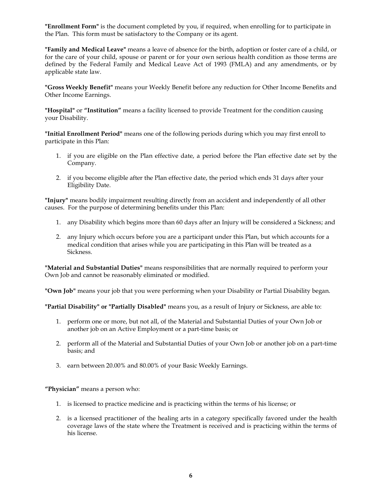**"Enrollment Form"** is the document completed by you, if required, when enrolling for to participate in the Plan. This form must be satisfactory to the Company or its agent.

**"Family and Medical Leave"** means a leave of absence for the birth, adoption or foster care of a child, or for the care of your child, spouse or parent or for your own serious health condition as those terms are defined by the Federal Family and Medical Leave Act of 1993 (FMLA) and any amendments, or by applicable state law.

**"Gross Weekly Benefit"** means your Weekly Benefit before any reduction for Other Income Benefits and Other Income Earnings.

**"Hospital"** or **"Institution"** means a facility licensed to provide Treatment for the condition causing your Disability.

**"Initial Enrollment Period"** means one of the following periods during which you may first enroll to participate in this Plan:

- 1. if you are eligible on the Plan effective date, a period before the Plan effective date set by the Company.
- 2. if you become eligible after the Plan effective date, the period which ends 31 days after your Eligibility Date.

**"Injury"** means bodily impairment resulting directly from an accident and independently of all other causes. For the purpose of determining benefits under this Plan:

- 1. any Disability which begins more than 60 days after an Injury will be considered a Sickness; and
- 2. any Injury which occurs before you are a participant under this Plan, but which accounts for a medical condition that arises while you are participating in this Plan will be treated as a Sickness.

**"Material and Substantial Duties"** means responsibilities that are normally required to perform your Own Job and cannot be reasonably eliminated or modified.

**"Own Job"** means your job that you were performing when your Disability or Partial Disability began.

**"Partial Disability" or "Partially Disabled"** means you, as a result of Injury or Sickness, are able to:

- 1. perform one or more, but not all, of the Material and Substantial Duties of your Own Job or another job on an Active Employment or a part-time basis; or
- 2. perform all of the Material and Substantial Duties of your Own Job or another job on a part-time basis; and
- 3. earn between 20.00% and 80.00% of your Basic Weekly Earnings.

**"Physician"** means a person who:

- 1. is licensed to practice medicine and is practicing within the terms of his license; or
- 2. is a licensed practitioner of the healing arts in a category specifically favored under the health coverage laws of the state where the Treatment is received and is practicing within the terms of his license.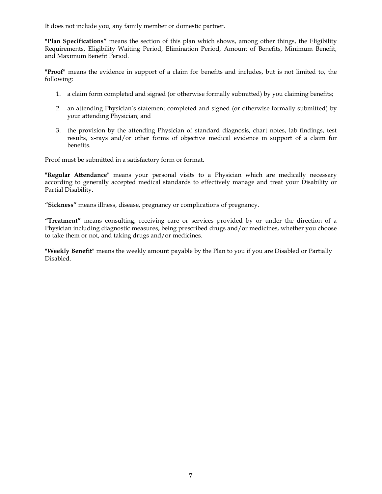It does not include you, any family member or domestic partner.

**"Plan Specifications"** means the section of this plan which shows, among other things, the Eligibility Requirements, Eligibility Waiting Period, Elimination Period, Amount of Benefits, Minimum Benefit, and Maximum Benefit Period.

**"Proof"** means the evidence in support of a claim for benefits and includes, but is not limited to, the following:

- 1. a claim form completed and signed (or otherwise formally submitted) by you claiming benefits;
- 2. an attending Physician's statement completed and signed (or otherwise formally submitted) by your attending Physician; and
- 3. the provision by the attending Physician of standard diagnosis, chart notes, lab findings, test results, x-rays and/or other forms of objective medical evidence in support of a claim for benefits.

Proof must be submitted in a satisfactory form or format.

**"Regular Attendance"** means your personal visits to a Physician which are medically necessary according to generally accepted medical standards to effectively manage and treat your Disability or Partial Disability.

**"Sickness"** means illness, disease, pregnancy or complications of pregnancy.

**"Treatment"** means consulting, receiving care or services provided by or under the direction of a Physician including diagnostic measures, being prescribed drugs and/or medicines, whether you choose to take them or not, and taking drugs and/or medicines.

**"Weekly Benefit"** means the weekly amount payable by the Plan to you if you are Disabled or Partially Disabled.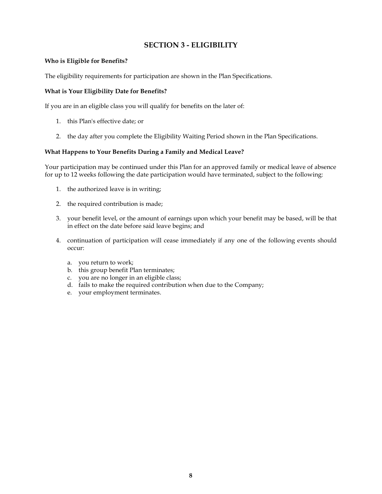# **SECTION 3 - ELIGIBILITY**

# **Who is Eligible for Benefits?**

The eligibility requirements for participation are shown in the Plan Specifications.

# **What is Your Eligibility Date for Benefits?**

If you are in an eligible class you will qualify for benefits on the later of:

- 1. this Plan's effective date; or
- 2. the day after you complete the Eligibility Waiting Period shown in the Plan Specifications.

# **What Happens to Your Benefits During a Family and Medical Leave?**

Your participation may be continued under this Plan for an approved family or medical leave of absence for up to 12 weeks following the date participation would have terminated, subject to the following:

- 1. the authorized leave is in writing;
- 2. the required contribution is made;
- 3. your benefit level, or the amount of earnings upon which your benefit may be based, will be that in effect on the date before said leave begins; and
- 4. continuation of participation will cease immediately if any one of the following events should occur:
	- a. you return to work;
	- b. this group benefit Plan terminates;
	- c. you are no longer in an eligible class;
	- d. fails to make the required contribution when due to the Company;
	- e. your employment terminates.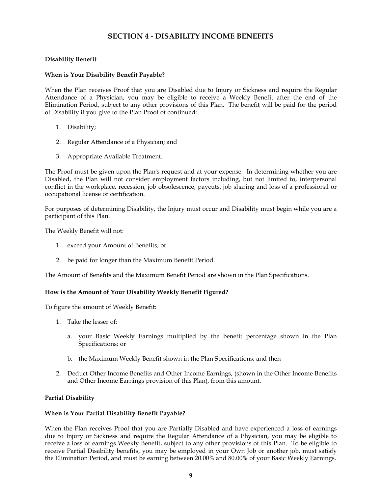# **SECTION 4 - DISABILITY INCOME BENEFITS**

# **Disability Benefit**

## **When is Your Disability Benefit Payable?**

When the Plan receives Proof that you are Disabled due to Injury or Sickness and require the Regular Attendance of a Physician, you may be eligible to receive a Weekly Benefit after the end of the Elimination Period, subject to any other provisions of this Plan. The benefit will be paid for the period of Disability if you give to the Plan Proof of continued:

- 1. Disability;
- 2. Regular Attendance of a Physician; and
- 3. Appropriate Available Treatment.

The Proof must be given upon the Plan's request and at your expense. In determining whether you are Disabled, the Plan will not consider employment factors including, but not limited to, interpersonal conflict in the workplace, recession, job obsolescence, paycuts, job sharing and loss of a professional or occupational license or certification.

For purposes of determining Disability, the Injury must occur and Disability must begin while you are a participant of this Plan.

The Weekly Benefit will not:

- 1. exceed your Amount of Benefits; or
- 2. be paid for longer than the Maximum Benefit Period.

The Amount of Benefits and the Maximum Benefit Period are shown in the Plan Specifications.

#### **How is the Amount of Your Disability Weekly Benefit Figured?**

To figure the amount of Weekly Benefit:

- 1. Take the lesser of:
	- a. your Basic Weekly Earnings multiplied by the benefit percentage shown in the Plan Specifications; or
	- b. the Maximum Weekly Benefit shown in the Plan Specifications; and then
- 2. Deduct Other Income Benefits and Other Income Earnings, (shown in the Other Income Benefits and Other Income Earnings provision of this Plan), from this amount.

# **Partial Disability**

#### **When is Your Partial Disability Benefit Payable?**

When the Plan receives Proof that you are Partially Disabled and have experienced a loss of earnings due to Injury or Sickness and require the Regular Attendance of a Physician, you may be eligible to receive a loss of earnings Weekly Benefit, subject to any other provisions of this Plan. To be eligible to receive Partial Disability benefits, you may be employed in your Own Job or another job, must satisfy the Elimination Period, and must be earning between 20.00% and 80.00% of your Basic Weekly Earnings.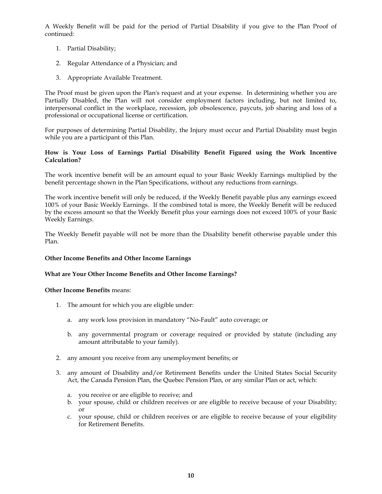A Weekly Benefit will be paid for the period of Partial Disability if you give to the Plan Proof of continued:

- 1. Partial Disability;
- 2. Regular Attendance of a Physician; and
- 3. Appropriate Available Treatment.

The Proof must be given upon the Plan's request and at your expense. In determining whether you are Partially Disabled, the Plan will not consider employment factors including, but not limited to, interpersonal conflict in the workplace, recession, job obsolescence, paycuts, job sharing and loss of a professional or occupational license or certification.

For purposes of determining Partial Disability, the Injury must occur and Partial Disability must begin while you are a participant of this Plan.

# **How is Your Loss of Earnings Partial Disability Benefit Figured using the Work Incentive Calculation?**

The work incentive benefit will be an amount equal to your Basic Weekly Earnings multiplied by the benefit percentage shown in the Plan Specifications, without any reductions from earnings.

The work incentive benefit will only be reduced, if the Weekly Benefit payable plus any earnings exceed 100% of your Basic Weekly Earnings. If the combined total is more, the Weekly Benefit will be reduced by the excess amount so that the Weekly Benefit plus your earnings does not exceed 100% of your Basic Weekly Earnings.

The Weekly Benefit payable will not be more than the Disability benefit otherwise payable under this Plan.

#### **Other Income Benefits and Other Income Earnings**

#### **What are Your Other Income Benefits and Other Income Earnings?**

#### **Other Income Benefits** means:

- 1. The amount for which you are eligible under:
	- a. any work loss provision in mandatory "No-Fault" auto coverage; or
	- b. any governmental program or coverage required or provided by statute (including any amount attributable to your family).
- 2. any amount you receive from any unemployment benefits; or
- 3. any amount of Disability and/or Retirement Benefits under the United States Social Security Act, the Canada Pension Plan, the Quebec Pension Plan, or any similar Plan or act, which:
	- a. you receive or are eligible to receive; and
	- b. your spouse, child or children receives or are eligible to receive because of your Disability; or
	- c. your spouse, child or children receives or are eligible to receive because of your eligibility for Retirement Benefits.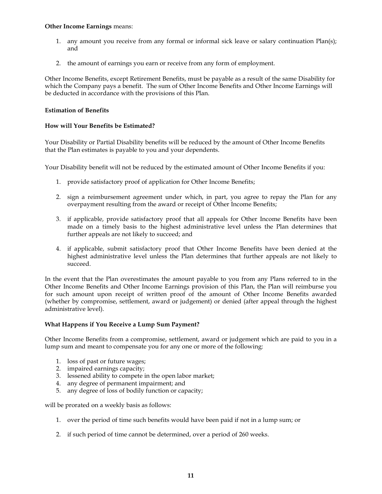#### **Other Income Earnings** means:

- 1. any amount you receive from any formal or informal sick leave or salary continuation Plan(s); and
- 2. the amount of earnings you earn or receive from any form of employment.

Other Income Benefits, except Retirement Benefits, must be payable as a result of the same Disability for which the Company pays a benefit. The sum of Other Income Benefits and Other Income Earnings will be deducted in accordance with the provisions of this Plan.

# **Estimation of Benefits**

# **How will Your Benefits be Estimated?**

Your Disability or Partial Disability benefits will be reduced by the amount of Other Income Benefits that the Plan estimates is payable to you and your dependents.

Your Disability benefit will not be reduced by the estimated amount of Other Income Benefits if you:

- 1. provide satisfactory proof of application for Other Income Benefits;
- 2. sign a reimbursement agreement under which, in part, you agree to repay the Plan for any overpayment resulting from the award or receipt of Other Income Benefits;
- 3. if applicable, provide satisfactory proof that all appeals for Other Income Benefits have been made on a timely basis to the highest administrative level unless the Plan determines that further appeals are not likely to succeed; and
- 4. if applicable, submit satisfactory proof that Other Income Benefits have been denied at the highest administrative level unless the Plan determines that further appeals are not likely to succeed.

In the event that the Plan overestimates the amount payable to you from any Plans referred to in the Other Income Benefits and Other Income Earnings provision of this Plan, the Plan will reimburse you for such amount upon receipt of written proof of the amount of Other Income Benefits awarded (whether by compromise, settlement, award or judgement) or denied (after appeal through the highest administrative level).

#### **What Happens if You Receive a Lump Sum Payment?**

Other Income Benefits from a compromise, settlement, award or judgement which are paid to you in a lump sum and meant to compensate you for any one or more of the following:

- 1. loss of past or future wages;
- 2. impaired earnings capacity;
- 3. lessened ability to compete in the open labor market;
- 4. any degree of permanent impairment; and
- 5. any degree of loss of bodily function or capacity;

will be prorated on a weekly basis as follows:

- 1. over the period of time such benefits would have been paid if not in a lump sum; or
- 2. if such period of time cannot be determined, over a period of 260 weeks.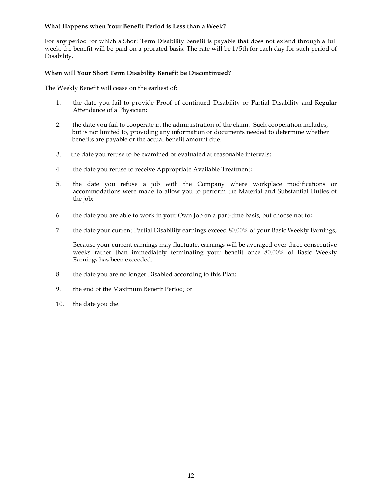# **What Happens when Your Benefit Period is Less than a Week?**

For any period for which a Short Term Disability benefit is payable that does not extend through a full week, the benefit will be paid on a prorated basis. The rate will be 1/5th for each day for such period of Disability.

# **When will Your Short Term Disability Benefit be Discontinued?**

The Weekly Benefit will cease on the earliest of:

- 1. the date you fail to provide Proof of continued Disability or Partial Disability and Regular Attendance of a Physician;
- 2. the date you fail to cooperate in the administration of the claim. Such cooperation includes, but is not limited to, providing any information or documents needed to determine whether benefits are payable or the actual benefit amount due.
- 3. the date you refuse to be examined or evaluated at reasonable intervals;
- 4. the date you refuse to receive Appropriate Available Treatment;
- 5. the date you refuse a job with the Company where workplace modifications or accommodations were made to allow you to perform the Material and Substantial Duties of the job;
- 6. the date you are able to work in your Own Job on a part-time basis, but choose not to;
- 7. the date your current Partial Disability earnings exceed 80.00% of your Basic Weekly Earnings;

Because your current earnings may fluctuate, earnings will be averaged over three consecutive weeks rather than immediately terminating your benefit once 80.00% of Basic Weekly Earnings has been exceeded.

- 8. the date you are no longer Disabled according to this Plan;
- 9. the end of the Maximum Benefit Period; or
- 10. the date you die.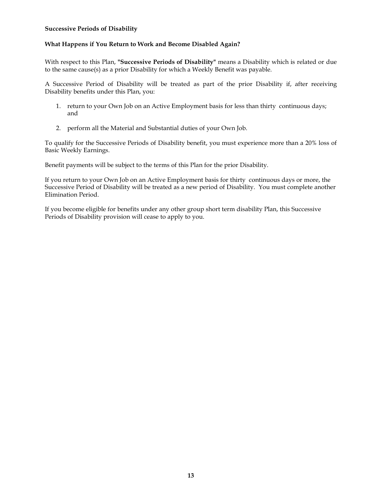### **Successive Periods of Disability**

# **What Happens if You Return to Work and Become Disabled Again?**

With respect to this Plan, **"Successive Periods of Disability"** means a Disability which is related or due to the same cause(s) as a prior Disability for which a Weekly Benefit was payable.

A Successive Period of Disability will be treated as part of the prior Disability if, after receiving Disability benefits under this Plan, you:

- 1. return to your Own Job on an Active Employment basis for less than thirty continuous days; and
- 2. perform all the Material and Substantial duties of your Own Job.

To qualify for the Successive Periods of Disability benefit, you must experience more than a 20% loss of Basic Weekly Earnings.

Benefit payments will be subject to the terms of this Plan for the prior Disability.

If you return to your Own Job on an Active Employment basis for thirty continuous days or more, the Successive Period of Disability will be treated as a new period of Disability. You must complete another Elimination Period.

If you become eligible for benefits under any other group short term disability Plan, this Successive Periods of Disability provision will cease to apply to you.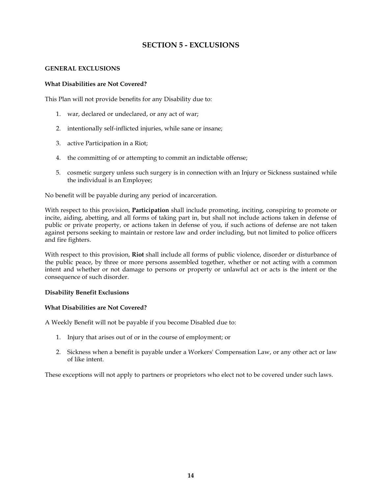# **SECTION 5 - EXCLUSIONS**

# **GENERAL EXCLUSIONS**

## **What Disabilities are Not Covered?**

This Plan will not provide benefits for any Disability due to:

- 1. war, declared or undeclared, or any act of war;
- 2. intentionally self-inflicted injuries, while sane or insane;
- 3. active Participation in a Riot;
- 4. the committing of or attempting to commit an indictable offense;
- 5. cosmetic surgery unless such surgery is in connection with an Injury or Sickness sustained while the individual is an Employee;

No benefit will be payable during any period of incarceration.

With respect to this provision, **Participation** shall include promoting, inciting, conspiring to promote or incite, aiding, abetting, and all forms of taking part in, but shall not include actions taken in defense of public or private property, or actions taken in defense of you, if such actions of defense are not taken against persons seeking to maintain or restore law and order including, but not limited to police officers and fire fighters.

With respect to this provision, **Riot** shall include all forms of public violence, disorder or disturbance of the public peace, by three or more persons assembled together, whether or not acting with a common intent and whether or not damage to persons or property or unlawful act or acts is the intent or the consequence of such disorder.

#### **Disability Benefit Exclusions**

#### **What Disabilities are Not Covered?**

A Weekly Benefit will not be payable if you become Disabled due to:

- 1. Injury that arises out of or in the course of employment; or
- 2. Sickness when a benefit is payable under a Workers' Compensation Law, or any other act or law of like intent.

These exceptions will not apply to partners or proprietors who elect not to be covered under such laws.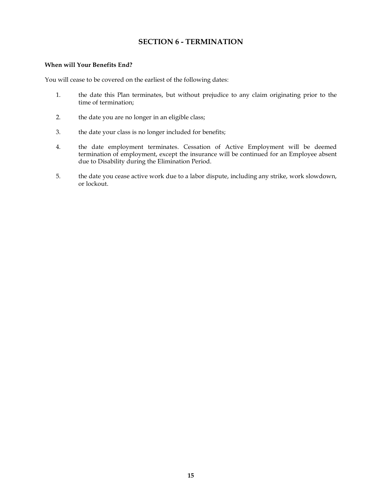# **SECTION 6 - TERMINATION**

#### **When will Your Benefits End?**

You will cease to be covered on the earliest of the following dates:

- 1. the date this Plan terminates, but without prejudice to any claim originating prior to the time of termination;
- 2. the date you are no longer in an eligible class;
- 3. the date your class is no longer included for benefits;
- 4. the date employment terminates. Cessation of Active Employment will be deemed termination of employment, except the insurance will be continued for an Employee absent due to Disability during the Elimination Period.
- 5. the date you cease active work due to a labor dispute, including any strike, work slowdown, or lockout.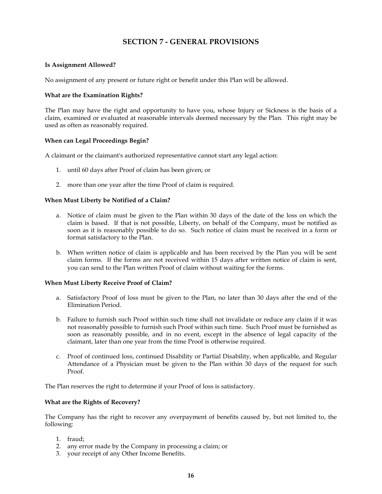# **SECTION 7 - GENERAL PROVISIONS**

#### **Is Assignment Allowed?**

No assignment of any present or future right or benefit under this Plan will be allowed.

#### **What are the Examination Rights?**

The Plan may have the right and opportunity to have you, whose Injury or Sickness is the basis of a claim, examined or evaluated at reasonable intervals deemed necessary by the Plan. This right may be used as often as reasonably required.

# **When can Legal Proceedings Begin?**

A claimant or the claimant's authorized representative cannot start any legal action:

- 1. until 60 days after Proof of claim has been given; or
- 2. more than one year after the time Proof of claim is required.

#### **When Must Liberty be Notified of a Claim?**

- a. Notice of claim must be given to the Plan within 30 days of the date of the loss on which the claim is based. If that is not possible, Liberty, on behalf of the Company, must be notified as soon as it is reasonably possible to do so. Such notice of claim must be received in a form or format satisfactory to the Plan.
- b. When written notice of claim is applicable and has been received by the Plan you will be sent claim forms. If the forms are not received within 15 days after written notice of claim is sent, you can send to the Plan written Proof of claim without waiting for the forms.

#### **When Must Liberty Receive Proof of Claim?**

- a. Satisfactory Proof of loss must be given to the Plan, no later than 30 days after the end of the Elimination Period.
- b. Failure to furnish such Proof within such time shall not invalidate or reduce any claim if it was not reasonably possible to furnish such Proof within such time. Such Proof must be furnished as soon as reasonably possible, and in no event, except in the absence of legal capacity of the claimant, later than one year from the time Proof is otherwise required.
- c. Proof of continued loss, continued Disability or Partial Disability, when applicable, and Regular Attendance of a Physician must be given to the Plan within 30 days of the request for such Proof.

The Plan reserves the right to determine if your Proof of loss is satisfactory.

#### **What are the Rights of Recovery?**

The Company has the right to recover any overpayment of benefits caused by, but not limited to, the following:

- 1. fraud;
- 2. any error made by the Company in processing a claim; or
- 3. your receipt of any Other Income Benefits.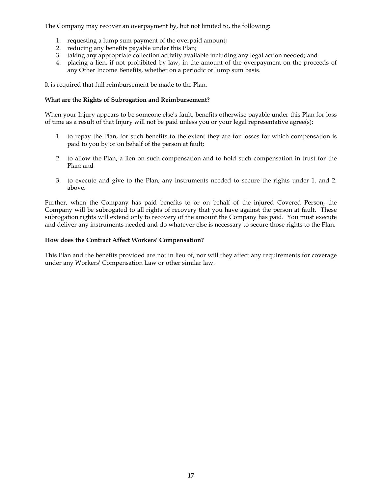The Company may recover an overpayment by, but not limited to, the following:

- 1. requesting a lump sum payment of the overpaid amount;
- 2. reducing any benefits payable under this Plan;
- 3. taking any appropriate collection activity available including any legal action needed; and
- 4. placing a lien, if not prohibited by law, in the amount of the overpayment on the proceeds of any Other Income Benefits, whether on a periodic or lump sum basis.

It is required that full reimbursement be made to the Plan.

## **What are the Rights of Subrogation and Reimbursement?**

When your Injury appears to be someone else's fault, benefits otherwise payable under this Plan for loss of time as a result of that Injury will not be paid unless you or your legal representative agree(s):

- 1. to repay the Plan, for such benefits to the extent they are for losses for which compensation is paid to you by or on behalf of the person at fault;
- 2. to allow the Plan, a lien on such compensation and to hold such compensation in trust for the Plan; and
- 3. to execute and give to the Plan, any instruments needed to secure the rights under 1. and 2. above.

Further, when the Company has paid benefits to or on behalf of the injured Covered Person, the Company will be subrogated to all rights of recovery that you have against the person at fault. These subrogation rights will extend only to recovery of the amount the Company has paid. You must execute and deliver any instruments needed and do whatever else is necessary to secure those rights to the Plan.

# **How does the Contract Affect Workers' Compensation?**

This Plan and the benefits provided are not in lieu of, nor will they affect any requirements for coverage under any Workers' Compensation Law or other similar law.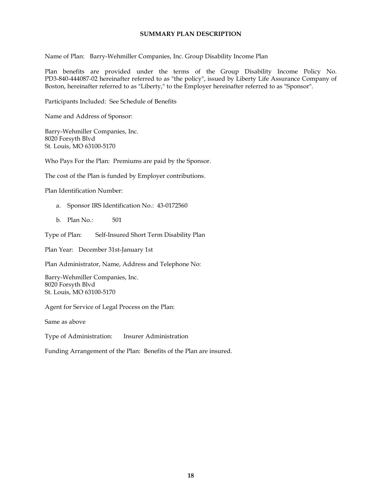# **SUMMARY PLAN DESCRIPTION**

Name of Plan: Barry-Wehmiller Companies, Inc. Group Disability Income Plan

Plan benefits are provided under the terms of the Group Disability Income Policy No. PD3-840-444087-02 hereinafter referred to as "the policy" , issued by Liberty Life Assurance Company of Boston, hereinafter referred to as "Liberty, " to the Employer hereinafter referred to as "Sponsor" .

Participants Included: See Schedule of Benefits

Name and Address of Sponsor:

Barry-Wehmiller Companies, Inc. 8020 Forsyth Blvd St. Louis, MO 63100-5170

Who Pays For the Plan: Premiums are paid by the Sponsor.

The cost of the Plan is funded by Employer contributions.

Plan Identification Number:

- a. Sponsor IRS Identification No.: 43-0172560
- b. Plan No.: 501

Type of Plan: Self-Insured Short Term Disability Plan

Plan Year: December 31st-January 1st

Plan Administrator, Name, Address and Telephone No:

Barry-Wehmiller Companies, Inc. 8020 Forsyth Blvd St. Louis, MO 63100-5170

Agent for Service of Legal Process on the Plan:

Same as above

Type of Administration: Insurer Administration

Funding Arrangement of the Plan: Benefits of the Plan are insured.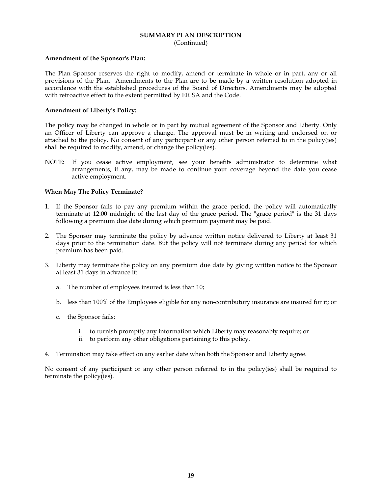# **SUMMARY PLAN DESCRIPTION**

(Continued)

### **Amendment of the Sponsor's Plan:**

The Plan Sponsor reserves the right to modify, amend or terminate in whole or in part, any or all provisions of the Plan. Amendments to the Plan are to be made by a written resolution adopted in accordance with the established procedures of the Board of Directors. Amendments may be adopted with retroactive effect to the extent permitted by ERISA and the Code.

# **Amendment of Liberty's Policy:**

The policy may be changed in whole or in part by mutual agreement of the Sponsor and Liberty. Only an Officer of Liberty can approve a change. The approval must be in writing and endorsed on or attached to the policy. No consent of any participant or any other person referred to in the policy(ies) shall be required to modify, amend, or change the policy(ies).

NOTE: If you cease active employment, see your benefits administrator to determine what arrangements, if any, may be made to continue your coverage beyond the date you cease active employment.

# **When May The Policy Terminate?**

- 1. If the Sponsor fails to pay any premium within the grace period, the policy will automatically terminate at 12:00 midnight of the last day of the grace period. The "grace period" is the 31 days following a premium due date during which premium payment may be paid.
- 2. The Sponsor may terminate the policy by advance written notice delivered to Liberty at least 31 days prior to the termination date. But the policy will not terminate during any period for which premium has been paid.
- 3. Liberty may terminate the policy on any premium due date by giving written notice to the Sponsor at least 31 days in advance if:
	- a. The number of employees insured is less than 10;
	- b. less than 100% of the Employees eligible for any non-contributory insurance are insured for it; or
	- c. the Sponsor fails:
		- i. to furnish promptly any information which Liberty may reasonably require; or
		- ii. to perform any other obligations pertaining to this policy.
- 4. Termination may take effect on any earlier date when both the Sponsor and Liberty agree.

No consent of any participant or any other person referred to in the policy(ies) shall be required to terminate the policy(ies).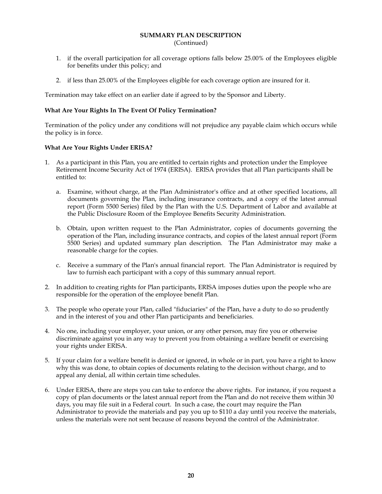# **SUMMARY PLAN DESCRIPTION**

(Continued)

- 1. if the overall participation for all coverage options falls below 25.00% of the Employees eligible for benefits under this policy; and
- 2. if less than 25.00% of the Employees eligible for each coverage option are insured for it.

Termination may take effect on an earlier date if agreed to by the Sponsor and Liberty.

# **What Are Your Rights In The Event Of Policy Termination?**

Termination of the policy under any conditions will not prejudice any payable claim which occurs while the policy is in force.

# **What Are Your Rights Under ERISA?**

- 1. As a participant in this Plan, you are entitled to certain rights and protection under the Employee Retirement Income Security Act of 1974 (ERISA). ERISA provides that all Plan participants shall be entitled to:
	- a. Examine, without charge, at the Plan Administrator's office and at other specified locations, all documents governing the Plan, including insurance contracts, and a copy of the latest annual report (Form 5500 Series) filed by the Plan with the U.S. Department of Labor and available at the Public Disclosure Room of the Employee Benefits Security Administration.
	- b. Obtain, upon written request to the Plan Administrator, copies of documents governing the operation of the Plan, including insurance contracts, and copies of the latest annual report (Form 5500 Series) and updated summary plan description. The Plan Administrator may make a reasonable charge for the copies.
	- c. Receive a summary of the Plan's annual financial report. The Plan Administrator is required by law to furnish each participant with a copy of this summary annual report.
- 2. In addition to creating rights for Plan participants, ERISA imposes duties upon the people who are responsible for the operation of the employee benefit Plan.
- 3. The people who operate your Plan, called "fiduciaries" of the Plan, have a duty to do so prudently and in the interest of you and other Plan participants and beneficiaries.
- 4. No one, including your employer, your union, or any other person, may fire you or otherwise discriminate against you in any way to prevent you from obtaining a welfare benefit or exercising your rights under ERISA.
- 5. If your claim fora welfare benefit is denied or ignored, in whole or in part, you have a right to know why this was done, to obtain copies of documents relating to the decision without charge, and to appeal any denial, all within certain time schedules.
- 6. Under ERISA, there are steps you can take to enforce the above rights. For instance, if you request a copy of plan documents or the latest annual report from the Plan and do not receive them within 30 days, you may file suit in a Federal court. In such a case, the court may require the Plan Administrator to provide the materials and pay you up to \$110 a day until you receive the materials, unless the materials were not sent because of reasons beyond the control of the Administrator.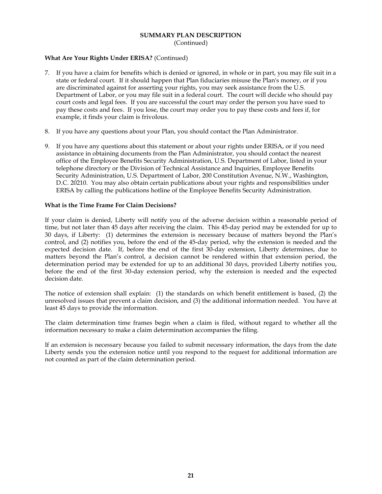#### **SUMMARY PLAN DESCRIPTION** (Continued)

# **What Are Your Rights Under ERISA?** (Continued)

- 7. If you have a claim for benefits which is denied or ignored, in whole or in part, you may file suit in a state or federal court. If it should happen that Plan fiduciaries misuse the Plan's money, or if you are discriminated against for asserting your rights, you may seek assistance from the U.S. Department of Labor, or you may file suit in a federal court. The court will decide who should pay court costs and legal fees. If you are successful the court may order the person you have sued to pay these costs and fees. If you lose, the court may order you to pay these costs and fees if, for example, it finds your claim is frivolous.
- 8. If you have any questions about your Plan, you should contact the Plan Administrator.
- 9. If you have any questions about this statement or about your rights under ERISA, or if you need assistance in obtaining documents from the Plan Administrator, you should contact the nearest office of the Employee Benefits Security Administration, U.S. Department of Labor, listed in your telephone directory or the Division of Technical Assistance and Inquiries, Employee Benefits Security Administration, U.S. Department of Labor, 200 Constitution Avenue, N.W., Washington, D.C. 20210. You may also obtain certain publications about your rights and responsibilities under ERISA by calling the publications hotline of the Employee Benefits Security Administration.

#### **What is the Time Frame For Claim Decisions?**

If your claim is denied, Liberty will notify you of the adverse decision within a reasonable period of time, but not later than 45 days after receiving the claim. This 45-day period may be extended for up to 30 days, if Liberty: (1) determines the extension is necessary because of matters beyond the Plan's control, and (2) notifies you, before the end of the 45-day period, why the extension is needed and the expected decision date. If, before the end of the first 30-day extension, Liberty determines, due to matters beyond the Plan's control, a decision cannot be rendered within that extension period, the determination period may be extended for up to an additional 30 days, provided Liberty notifies you, before the end of the first 30-day extension period, why the extension is needed and the expected decision date.

The notice of extension shall explain: (1) the standards on which benefit entitlement is based, (2) the unresolved issues that prevent a claim decision, and (3) the additional information needed. You have at least 45 days to provide the information.

The claim determination time frames begin when a claim is filed, without regard to whether all the information necessary to make a claim determination accompanies the filing.

If an extension is necessary because you failed to submit necessary information, the days from the date Liberty sends you the extension notice until you respond to the request for additional information are not counted as part of the claim determination period.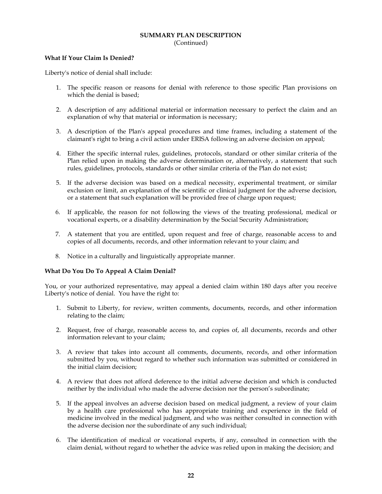## **SUMMARY PLAN DESCRIPTION** (Continued)

#### **What If Your Claim Is Denied?**

Liberty's notice of denial shall include:

- 1. The specific reason or reasons for denial with reference to those specific Plan provisions on which the denial is based;
- 2. A description of any additional material or information necessary to perfect the claim and an explanation of why that material or information is necessary;
- 3. A description of the Plan's appeal procedures and time frames, including a statement of the claimant's right to bring a civil action under ERISA following an adverse decision on appeal;
- 4. Either the specific internal rules, guidelines, protocols, standard or other similar criteria of the Plan relied upon in making the adverse determination or, alternatively, a statement that such rules, guidelines, protocols, standards or other similar criteria of the Plan do not exist;
- 5. If the adverse decision was based on a medical necessity, experimental treatment, or similar exclusion or limit, an explanation of the scientific or clinical judgment for the adverse decision, or a statement that such explanation will be provided free of charge upon request;
- 6. If applicable, the reason for not following the views of the treating professional, medical or vocational experts, or a disability determination by the Social Security Administration;
- 7. A statement that you are entitled, upon request and free of charge, reasonable access to and copies of all documents, records, and other information relevant to your claim; and
- 8. Notice in a culturally and linguistically appropriate manner.

#### **What Do You Do To Appeal A Claim Denial?**

You, or your authorized representative, may appeal a denied claim within 180 days after you receive Liberty's notice of denial. You have the right to:

- 1. Submit to Liberty, for review, written comments, documents, records, and other information relating to the claim;
- 2. Request, free of charge, reasonable access to, and copies of, all documents, records and other information relevant to your claim;
- 3. A review that takes into account all comments, documents, records, and other information submitted by you, without regard to whether such information was submitted or considered in the initial claim decision;
- 4. A review that does not afford deference to the initial adverse decision and which is conducted neither by the individual who made the adverse decision nor the person's subordinate;
- 5. If the appeal involves an adverse decision based on medical judgment, a review of your claim by a health care professional who has appropriate training and experience in the field of medicine involved in the medical judgment, and who was neither consulted in connection with the adverse decision nor the subordinate of any such individual;
- 6. The identification of medical or vocational experts, if any, consulted in connection with the claim denial, without regard to whether the advice was relied upon in making the decision; and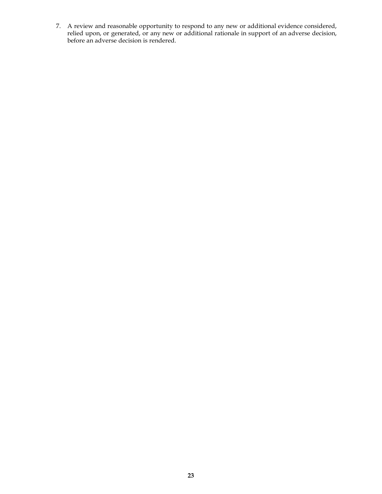7. A review and reasonable opportunity to respond to any new or additional evidence considered, relied upon, or generated, or any new or additional rationale in support of an adverse decision, before an adverse decision is rendered.